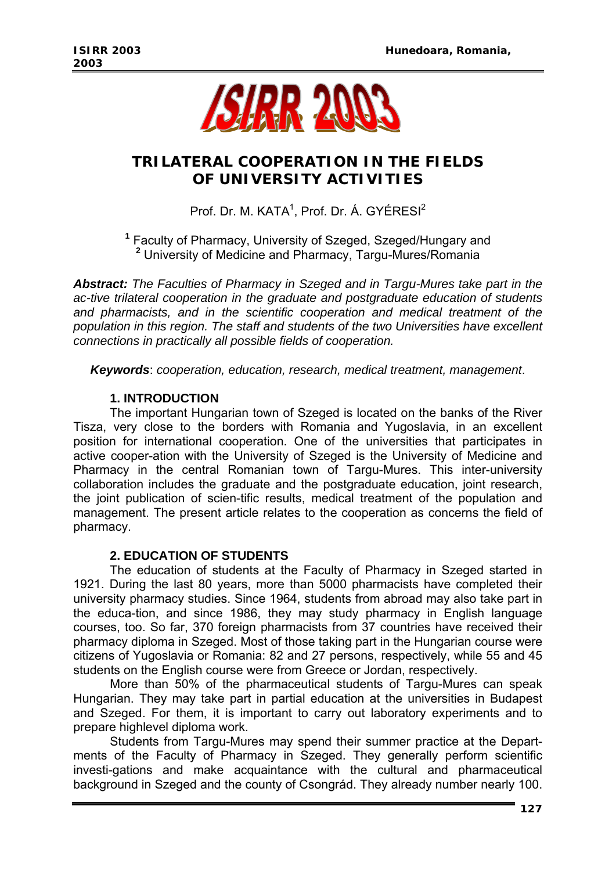

# **TRILATERAL COOPERATION IN THE FIELDS OF UNIVERSITY ACTIVITIES**

Prof. Dr. M. KATA<sup>1</sup>, Prof. Dr. Á. GYÉRESI<sup>2</sup>

**1** Faculty of Pharmacy, University of Szeged, Szeged/Hungary and **2** University of Medicine and Pharmacy, Targu-Mures/Romania

*Abstract: The Faculties of Pharmacy in Szeged and in Targu-Mures take part in the ac-tive trilateral cooperation in the graduate and postgraduate education of students and pharmacists, and in the scientific cooperation and medical treatment of the population in this region. The staff and students of the two Universities have excellent connections in practically all possible fields of cooperation.* 

*Keywords*: *cooperation, education, research, medical treatment, management*.

### **1. INTRODUCTION**

 The important Hungarian town of Szeged is located on the banks of the River Tisza, very close to the borders with Romania and Yugoslavia, in an excellent position for international cooperation. One of the universities that participates in active cooper-ation with the University of Szeged is the University of Medicine and Pharmacy in the central Romanian town of Targu-Mures. This inter-university collaboration includes the graduate and the postgraduate education, joint research, the joint publication of scien-tific results, medical treatment of the population and management. The present article relates to the cooperation as concerns the field of pharmacy.

### **2. EDUCATION OF STUDENTS**

 The education of students at the Faculty of Pharmacy in Szeged started in 1921. During the last 80 years, more than 5000 pharmacists have completed their university pharmacy studies. Since 1964, students from abroad may also take part in the educa-tion, and since 1986, they may study pharmacy in English language courses, too. So far, 370 foreign pharmacists from 37 countries have received their pharmacy diploma in Szeged. Most of those taking part in the Hungarian course were citizens of Yugoslavia or Romania: 82 and 27 persons, respectively, while 55 and 45 students on the English course were from Greece or Jordan, respectively.

 More than 50% of the pharmaceutical students of Targu-Mures can speak Hungarian. They may take part in partial education at the universities in Budapest and Szeged. For them, it is important to carry out laboratory experiments and to prepare highlevel diploma work.

 Students from Targu-Mures may spend their summer practice at the Departments of the Faculty of Pharmacy in Szeged. They generally perform scientific investi-gations and make acquaintance with the cultural and pharmaceutical background in Szeged and the county of Csongrád. They already number nearly 100.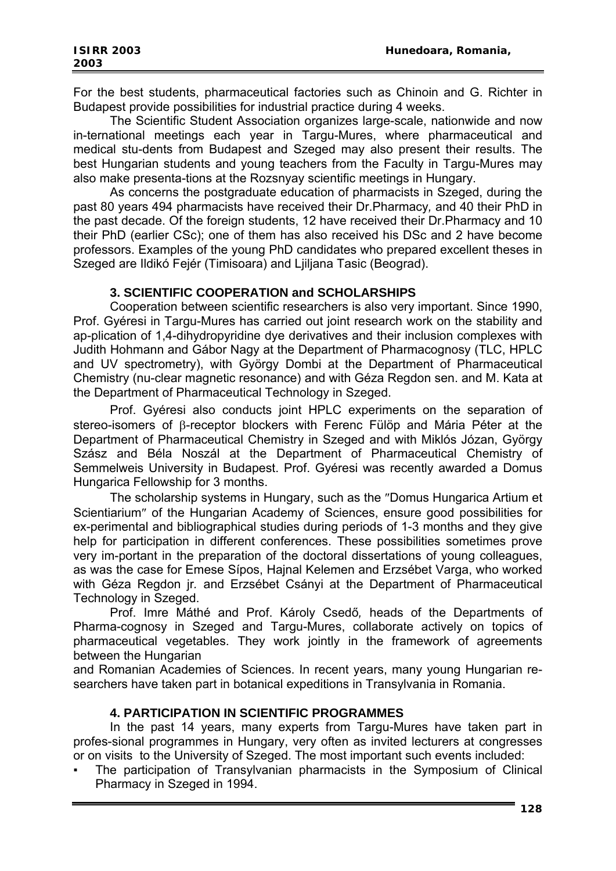For the best students, pharmaceutical factories such as Chinoin and G. Richter in Budapest provide possibilities for industrial practice during 4 weeks.

 The Scientific Student Association organizes large-scale, nationwide and now in-ternational meetings each year in Targu-Mures, where pharmaceutical and medical stu-dents from Budapest and Szeged may also present their results. The best Hungarian students and young teachers from the Faculty in Targu-Mures may also make presenta-tions at the Rozsnyay scientific meetings in Hungary.

 As concerns the postgraduate education of pharmacists in Szeged, during the past 80 years 494 pharmacists have received their Dr.Pharmacy*,* and 40 their PhD in the past decade. Of the foreign students, 12 have received their Dr.Pharmacy and 10 their PhD (earlier CSc); one of them has also received his DSc and 2 have become professors. Examples of the young PhD candidates who prepared excellent theses in Szeged are Ildikó Fejér (Timisoara) and Ljiljana Tasic (Beograd).

### **3. SCIENTIFIC COOPERATION and SCHOLARSHIPS**

 Cooperation between scientific researchers is also very important. Since 1990, Prof. Gyéresi in Targu-Mures has carried out joint research work on the stability and ap-plication of 1,4-dihydropyridine dye derivatives and their inclusion complexes with Judith Hohmann and Gábor Nagy at the Department of Pharmacognosy (TLC, HPLC and UV spectrometry), with György Dombi at the Department of Pharmaceutical Chemistry (nu-clear magnetic resonance) and with Géza Regdon sen. and M. Kata at the Department of Pharmaceutical Technology in Szeged.

 Prof. Gyéresi also conducts joint HPLC experiments on the separation of stereo-isomers of β-receptor blockers with Ferenc Fülöp and Mária Péter at the Department of Pharmaceutical Chemistry in Szeged and with Miklós Józan, György Szász and Béla Noszál at the Department of Pharmaceutical Chemistry of Semmelweis University in Budapest. Prof. Gyéresi was recently awarded a Domus Hungarica Fellowship for 3 months.

 The scholarship systems in Hungary, such as the ″Domus Hungarica Artium et Scientiarium″ of the Hungarian Academy of Sciences, ensure good possibilities for ex-perimental and bibliographical studies during periods of 1-3 months and they give help for participation in different conferences. These possibilities sometimes prove very im-portant in the preparation of the doctoral dissertations of young colleagues, as was the case for Emese Sípos, Hajnal Kelemen and Erzsébet Varga, who worked with Géza Regdon jr*.* and Erzsébet Csányi at the Department of Pharmaceutical Technology in Szeged.

 Prof. Imre Máthé and Prof. Károly Csedő*,* heads of the Departments of Pharma-cognosy in Szeged and Targu-Mures, collaborate actively on topics of pharmaceutical vegetables. They work jointly in the framework of agreements between the Hungarian

and Romanian Academies of Sciences. In recent years, many young Hungarian researchers have taken part in botanical expeditions in Transylvania in Romania.

## **4. PARTICIPATION IN SCIENTIFIC PROGRAMMES**

 In the past 14 years, many experts from Targu-Mures have taken part in profes-sional programmes in Hungary, very often as invited lecturers at congresses or on visits to the University of Szeged. The most important such events included:

The participation of Transylvanian pharmacists in the Symposium of Clinical Pharmacy in Szeged in 1994.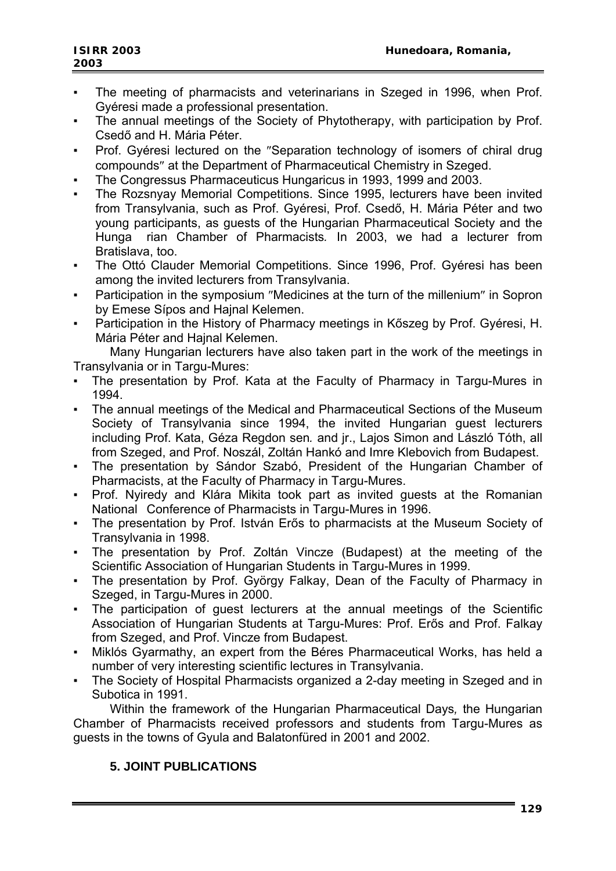- The meeting of pharmacists and veterinarians in Szeged in 1996, when Prof. Gyéresi made a professional presentation.
- The annual meetings of the Society of Phytotherapy, with participation by Prof. Csedő and H. Mária Péter.
- Prof. Gyéresi lectured on the "Separation technology of isomers of chiral drug compounds″ at the Department of Pharmaceutical Chemistry in Szeged.
- The Congressus Pharmaceuticus Hungaricus in 1993, 1999 and 2003.
- The Rozsnyay Memorial Competitions. Since 1995, lecturers have been invited from Transylvania, such as Prof. Gyéresi, Prof. Csedő, H. Mária Péter and two young participants, as guests of the Hungarian Pharmaceutical Society and the Hunga rian Chamber of Pharmacists*.* In 2003, we had a lecturer from Bratislava, too.
- The Ottó Clauder Memorial Competitions. Since 1996, Prof. Gyéresi has been among the invited lecturers from Transylvania.
- Participation in the symposium "Medicines at the turn of the millenium" in Sopron by Emese Sípos and Hajnal Kelemen.
- Participation in the History of Pharmacy meetings in Kőszeg by Prof. Gyéresi, H. Mária Péter and Hajnal Kelemen.

 Many Hungarian lecturers have also taken part in the work of the meetings in Transylvania or in Targu-Mures:

- The presentation by Prof. Kata at the Faculty of Pharmacy in Targu-Mures in 1994.
- The annual meetings of the Medical and Pharmaceutical Sections of the Museum Society of Transylvania since 1994, the invited Hungarian guest lecturers including Prof. Kata, Géza Regdon sen*.* and jr., Lajos Simon and László Tóth, all from Szeged, and Prof. Noszál, Zoltán Hankó and Imre Klebovich from Budapest.
- The presentation by Sándor Szabó, President of the Hungarian Chamber of Pharmacists, at the Faculty of Pharmacy in Targu-Mures.
- Prof. Nyiredy and Klára Mikita took part as invited guests at the Romanian National Conference of Pharmacists in Targu-Mures in 1996.
- The presentation by Prof. István Erős to pharmacists at the Museum Society of Transylvania in 1998.
- The presentation by Prof. Zoltán Vincze (Budapest) at the meeting of the Scientific Association of Hungarian Students in Targu-Mures in 1999.
- The presentation by Prof. György Falkay, Dean of the Faculty of Pharmacy in Szeged, in Targu-Mures in 2000.
- The participation of quest lecturers at the annual meetings of the Scientific Association of Hungarian Students at Targu-Mures: Prof. Erős and Prof. Falkay from Szeged, and Prof. Vincze from Budapest.
- Miklós Gyarmathy, an expert from the Béres Pharmaceutical Works, has held a number of very interesting scientific lectures in Transylvania.
- The Society of Hospital Pharmacists organized a 2-day meeting in Szeged and in Subotica in 1991.

 Within the framework of the Hungarian Pharmaceutical Days*,* the Hungarian Chamber of Pharmacists received professors and students from Targu-Mures as guests in the towns of Gyula and Balatonfüred in 2001 and 2002.

### **5. JOINT PUBLICATIONS**